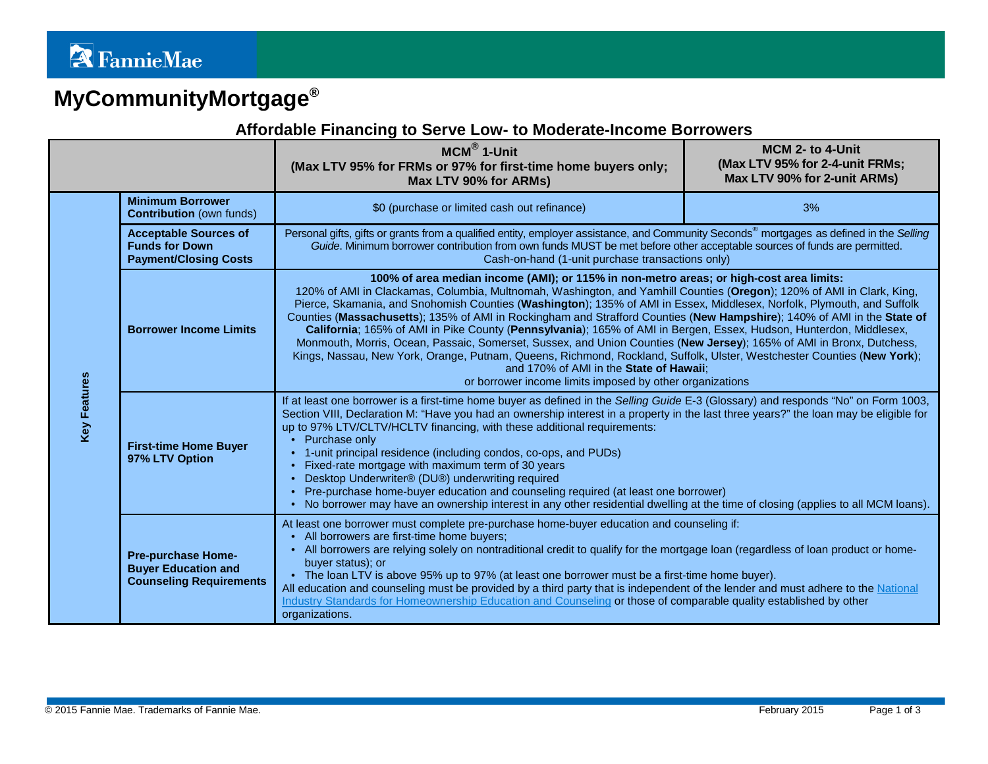## **MyCommunityMortgage®**

## **Affordable Financing to Serve Low- to Moderate-Income Borrowers**

|                     |                                                                                           | MCM <sup>®</sup> 1-Unit<br>(Max LTV 95% for FRMs or 97% for first-time home buyers only;<br>Max LTV 90% for ARMs)                                                                                                                                                                                                                                                                                                                                                                                                                                                                                                                                                                                                                                                                                                                                                                                                                                    | <b>MCM 2- to 4-Unit</b><br>(Max LTV 95% for 2-4-unit FRMs;<br>Max LTV 90% for 2-unit ARMs) |  |  |
|---------------------|-------------------------------------------------------------------------------------------|------------------------------------------------------------------------------------------------------------------------------------------------------------------------------------------------------------------------------------------------------------------------------------------------------------------------------------------------------------------------------------------------------------------------------------------------------------------------------------------------------------------------------------------------------------------------------------------------------------------------------------------------------------------------------------------------------------------------------------------------------------------------------------------------------------------------------------------------------------------------------------------------------------------------------------------------------|--------------------------------------------------------------------------------------------|--|--|
| <b>Key Features</b> | <b>Minimum Borrower</b><br><b>Contribution</b> (own funds)                                | \$0 (purchase or limited cash out refinance)                                                                                                                                                                                                                                                                                                                                                                                                                                                                                                                                                                                                                                                                                                                                                                                                                                                                                                         | 3%                                                                                         |  |  |
|                     | <b>Acceptable Sources of</b><br><b>Funds for Down</b><br><b>Payment/Closing Costs</b>     | Personal gifts, gifts or grants from a qualified entity, employer assistance, and Community Seconds <sup>®</sup> mortgages as defined in the Selling<br>Guide. Minimum borrower contribution from own funds MUST be met before other acceptable sources of funds are permitted.<br>Cash-on-hand (1-unit purchase transactions only)                                                                                                                                                                                                                                                                                                                                                                                                                                                                                                                                                                                                                  |                                                                                            |  |  |
|                     | <b>Borrower Income Limits</b>                                                             | 100% of area median income (AMI); or 115% in non-metro areas; or high-cost area limits:<br>120% of AMI in Clackamas, Columbia, Multnomah, Washington, and Yamhill Counties (Oregon); 120% of AMI in Clark, King,<br>Pierce, Skamania, and Snohomish Counties (Washington); 135% of AMI in Essex, Middlesex, Norfolk, Plymouth, and Suffolk<br>Counties (Massachusetts); 135% of AMI in Rockingham and Strafford Counties (New Hampshire); 140% of AMI in the State of<br>California; 165% of AMI in Pike County (Pennsylvania); 165% of AMI in Bergen, Essex, Hudson, Hunterdon, Middlesex,<br>Monmouth, Morris, Ocean, Passaic, Somerset, Sussex, and Union Counties (New Jersey); 165% of AMI in Bronx, Dutchess,<br>Kings, Nassau, New York, Orange, Putnam, Queens, Richmond, Rockland, Suffolk, Ulster, Westchester Counties (New York);<br>and 170% of AMI in the State of Hawaii;<br>or borrower income limits imposed by other organizations |                                                                                            |  |  |
|                     | <b>First-time Home Buyer</b><br>97% LTV Option                                            | If at least one borrower is a first-time home buyer as defined in the Selling Guide E-3 (Glossary) and responds "No" on Form 1003,<br>Section VIII, Declaration M: "Have you had an ownership interest in a property in the last three years?" the loan may be eligible for<br>up to 97% LTV/CLTV/HCLTV financing, with these additional requirements:<br>Purchase only<br>1-unit principal residence (including condos, co-ops, and PUDs)<br>Fixed-rate mortgage with maximum term of 30 years<br>Desktop Underwriter® (DU®) underwriting required<br>Pre-purchase home-buyer education and counseling required (at least one borrower)<br>• No borrower may have an ownership interest in any other residential dwelling at the time of closing (applies to all MCM loans).                                                                                                                                                                        |                                                                                            |  |  |
|                     | <b>Pre-purchase Home-</b><br><b>Buyer Education and</b><br><b>Counseling Requirements</b> | At least one borrower must complete pre-purchase home-buyer education and counseling if:<br>• All borrowers are first-time home buyers;<br>All borrowers are relying solely on nontraditional credit to qualify for the mortgage loan (regardless of loan product or home-<br>buyer status); or<br>• The loan LTV is above 95% up to 97% (at least one borrower must be a first-time home buyer).<br>All education and counseling must be provided by a third party that is independent of the lender and must adhere to the National<br>Industry Standards for Homeownership Education and Counseling or those of comparable quality established by other<br>organizations.                                                                                                                                                                                                                                                                         |                                                                                            |  |  |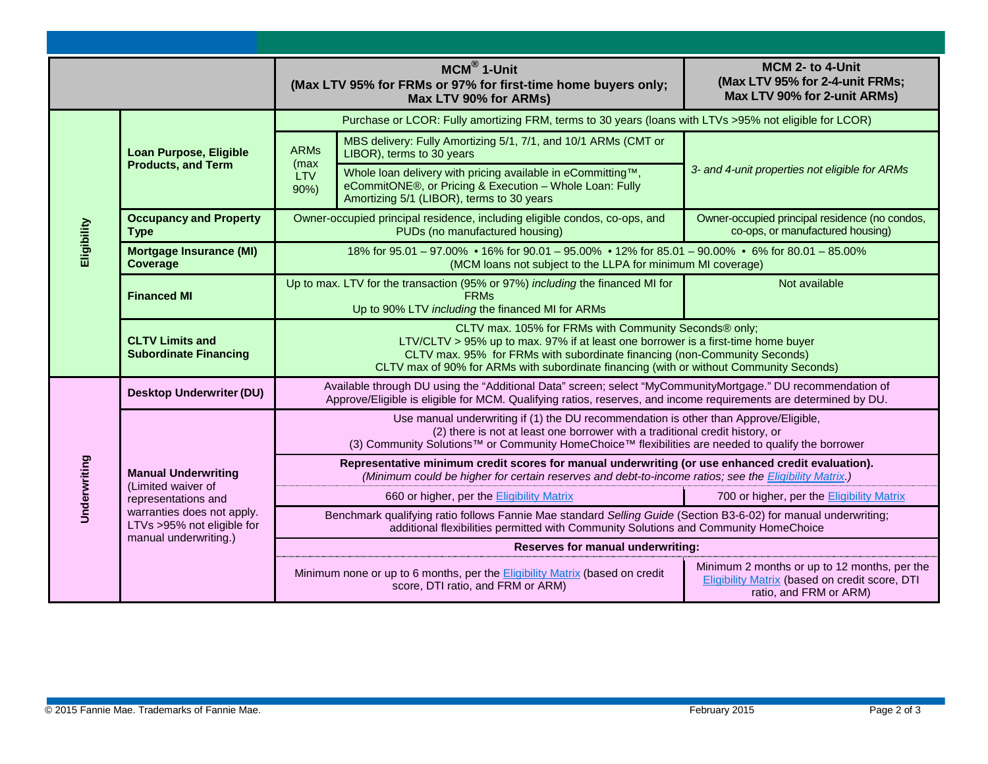|              |                                                                                                                                                              | $MCM^{\circledR}$ 1-Unit<br>(Max LTV 95% for FRMs or 97% for first-time home buyers only;<br>Max LTV 90% for ARMs)                                                                                                                                                         |                                                                                                                                                                                                                                                                                                                    | <b>MCM 2- to 4-Unit</b><br>(Max LTV 95% for 2-4-unit FRMs;<br>Max LTV 90% for 2-unit ARMs)                                      |  |  |
|--------------|--------------------------------------------------------------------------------------------------------------------------------------------------------------|----------------------------------------------------------------------------------------------------------------------------------------------------------------------------------------------------------------------------------------------------------------------------|--------------------------------------------------------------------------------------------------------------------------------------------------------------------------------------------------------------------------------------------------------------------------------------------------------------------|---------------------------------------------------------------------------------------------------------------------------------|--|--|
| Eligibility  | <b>Loan Purpose, Eligible</b><br><b>Products, and Term</b>                                                                                                   | Purchase or LCOR: Fully amortizing FRM, terms to 30 years (loans with LTVs >95% not eligible for LCOR)                                                                                                                                                                     |                                                                                                                                                                                                                                                                                                                    |                                                                                                                                 |  |  |
|              |                                                                                                                                                              | <b>ARMs</b><br>(max)                                                                                                                                                                                                                                                       | MBS delivery: Fully Amortizing 5/1, 7/1, and 10/1 ARMs (CMT or<br>LIBOR), terms to 30 years                                                                                                                                                                                                                        | 3- and 4-unit properties not eligible for ARMs                                                                                  |  |  |
|              |                                                                                                                                                              | <b>LTV</b><br>90%                                                                                                                                                                                                                                                          | Whole loan delivery with pricing available in eCommitting™,<br>eCommitONE®, or Pricing & Execution - Whole Loan: Fully<br>Amortizing 5/1 (LIBOR), terms to 30 years                                                                                                                                                |                                                                                                                                 |  |  |
|              | <b>Occupancy and Property</b><br><b>Type</b>                                                                                                                 |                                                                                                                                                                                                                                                                            | Owner-occupied principal residence, including eligible condos, co-ops, and<br>PUDs (no manufactured housing)                                                                                                                                                                                                       | Owner-occupied principal residence (no condos,<br>co-ops, or manufactured housing)                                              |  |  |
|              | <b>Mortgage Insurance (MI)</b><br>Coverage                                                                                                                   |                                                                                                                                                                                                                                                                            | 18% for 95.01 - 97.00% • 16% for 90.01 - 95.00% • 12% for 85.01 - 90.00% • 6% for 80.01 - 85.00%<br>(MCM loans not subject to the LLPA for minimum MI coverage)                                                                                                                                                    |                                                                                                                                 |  |  |
|              | <b>Financed MI</b>                                                                                                                                           |                                                                                                                                                                                                                                                                            | Up to max. LTV for the transaction (95% or 97%) including the financed MI for<br><b>FRMs</b><br>Up to 90% LTV including the financed MI for ARMs                                                                                                                                                                   | Not available                                                                                                                   |  |  |
|              | <b>CLTV Limits and</b><br><b>Subordinate Financing</b>                                                                                                       |                                                                                                                                                                                                                                                                            | CLTV max. 105% for FRMs with Community Seconds® only;<br>LTV/CLTV > 95% up to max. 97% if at least one borrower is a first-time home buyer<br>CLTV max. 95% for FRMs with subordinate financing (non-Community Seconds)<br>CLTV max of 90% for ARMs with subordinate financing (with or without Community Seconds) |                                                                                                                                 |  |  |
| Underwriting | <b>Desktop Underwriter (DU)</b>                                                                                                                              |                                                                                                                                                                                                                                                                            | Available through DU using the "Additional Data" screen; select "MyCommunityMortgage." DU recommendation of<br>Approve/Eligible is eligible for MCM. Qualifying ratios, reserves, and income requirements are determined by DU.                                                                                    |                                                                                                                                 |  |  |
|              | <b>Manual Underwriting</b><br>(Limited waiver of<br>representations and<br>warranties does not apply.<br>LTVs >95% not eligible for<br>manual underwriting.) | Use manual underwriting if (1) the DU recommendation is other than Approve/Eligible,<br>(2) there is not at least one borrower with a traditional credit history, or<br>(3) Community Solutions™ or Community HomeChoice™ flexibilities are needed to qualify the borrower |                                                                                                                                                                                                                                                                                                                    |                                                                                                                                 |  |  |
|              |                                                                                                                                                              | Representative minimum credit scores for manual underwriting (or use enhanced credit evaluation).<br>(Minimum could be higher for certain reserves and debt-to-income ratios; see the Eligibility Matrix.)                                                                 |                                                                                                                                                                                                                                                                                                                    |                                                                                                                                 |  |  |
|              |                                                                                                                                                              |                                                                                                                                                                                                                                                                            | 660 or higher, per the <b>Eligibility Matrix</b>                                                                                                                                                                                                                                                                   | 700 or higher, per the Eligibility Matrix                                                                                       |  |  |
|              |                                                                                                                                                              | Benchmark qualifying ratio follows Fannie Mae standard Selling Guide (Section B3-6-02) for manual underwriting;<br>additional flexibilities permitted with Community Solutions and Community HomeChoice                                                                    |                                                                                                                                                                                                                                                                                                                    |                                                                                                                                 |  |  |
|              |                                                                                                                                                              | <b>Reserves for manual underwriting:</b>                                                                                                                                                                                                                                   |                                                                                                                                                                                                                                                                                                                    |                                                                                                                                 |  |  |
|              |                                                                                                                                                              |                                                                                                                                                                                                                                                                            | Minimum none or up to 6 months, per the <b>Eligibility Matrix</b> (based on credit<br>score, DTI ratio, and FRM or ARM)                                                                                                                                                                                            | Minimum 2 months or up to 12 months, per the<br><b>Eligibility Matrix (based on credit score, DTI</b><br>ratio, and FRM or ARM) |  |  |